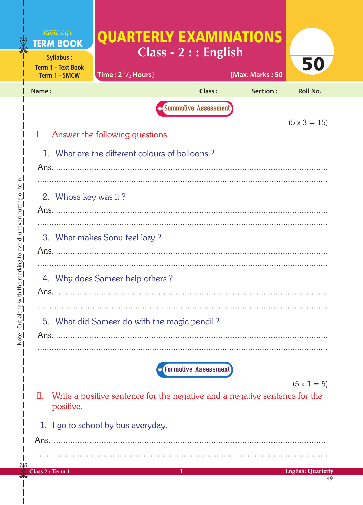|                                                                          | Real Life<br><b>TERM BOOK</b><br>Syllabus:<br><b>Term 1 - Text Book</b>                                              | <b>QUARTERLY EXAMINATIONS</b>                | Class - 2 : : English |                 | 50                              |  |  |
|--------------------------------------------------------------------------|----------------------------------------------------------------------------------------------------------------------|----------------------------------------------|-----------------------|-----------------|---------------------------------|--|--|
|                                                                          | <b>Term 1 - SMCW</b>                                                                                                 | Time: $2 \frac{1}{2}$ Hours]                 |                       | [Max. Marks: 50 |                                 |  |  |
|                                                                          | Name:                                                                                                                |                                              | Class:                | Section:        | <b>Roll No.</b>                 |  |  |
|                                                                          | <b>Summative Assessment</b>                                                                                          |                                              |                       |                 |                                 |  |  |
|                                                                          | $(5 \times 3 = 15)$<br>Answer the following questions.                                                               |                                              |                       |                 |                                 |  |  |
|                                                                          | 1. What are the different colours of balloons?                                                                       |                                              |                       |                 |                                 |  |  |
|                                                                          |                                                                                                                      |                                              |                       |                 |                                 |  |  |
| uneven cutting or torn.<br>th the marking to avoid<br>Note: Cut along wi | 2. Whose key was it?                                                                                                 |                                              |                       |                 |                                 |  |  |
|                                                                          | 3. What makes Sonu feel lazy?                                                                                        |                                              |                       |                 |                                 |  |  |
|                                                                          | 4. Why does Sameer help others?                                                                                      |                                              |                       |                 |                                 |  |  |
|                                                                          |                                                                                                                      | 5. What did Sameer do with the magic pencil? |                       |                 |                                 |  |  |
|                                                                          | <b>Formative Assessment</b>                                                                                          |                                              |                       |                 |                                 |  |  |
|                                                                          | $(5 \times 1 = 5)$<br>Write a positive sentence for the negative and a negative sentence for the<br>II.<br>positive. |                                              |                       |                 |                                 |  |  |
|                                                                          | 1. I go to school by bus everyday.                                                                                   |                                              |                       |                 |                                 |  |  |
|                                                                          |                                                                                                                      |                                              |                       |                 |                                 |  |  |
| M                                                                        |                                                                                                                      |                                              |                       |                 |                                 |  |  |
|                                                                          | Class 2: Term 1                                                                                                      |                                              | 1                     |                 | <b>English: Quarterly</b><br>49 |  |  |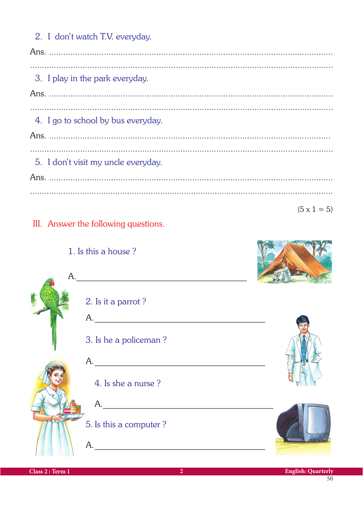2. I don't watch T.V. everyday. 3. I play in the park everyday. 4. I go to school by bus everyday. 5. I don't visit my uncle everyday.  $(5 \times 1 = 5)$ 

## III. Answer the following questions.

1. Is this a house?

| A. |                        |     |
|----|------------------------|-----|
|    | 2. Is it a parrot?     |     |
|    | A.                     |     |
|    | 3. Is he a policeman?  |     |
|    | A.                     |     |
|    | 4. Is she a nurse?     |     |
|    | A.                     |     |
|    | 5. Is this a computer? |     |
|    | A.                     | 000 |



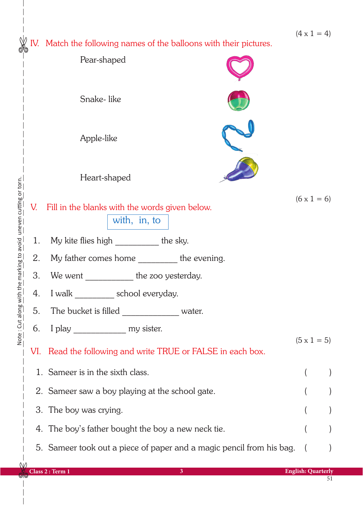$(4 \times 1 = 4)$ 

IV. Match the following names of the balloons with their pictures.